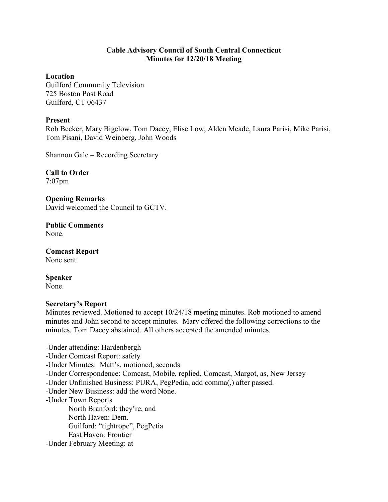## **Cable Advisory Council of South Central Connecticut Minutes for 12/20/18 Meeting**

## **Location**

Guilford Community Television 725 Boston Post Road Guilford, CT 06437

## **Present**

Rob Becker, Mary Bigelow, Tom Dacey, Elise Low, Alden Meade, Laura Parisi, Mike Parisi, Tom Pisani, David Weinberg, John Woods

Shannon Gale – Recording Secretary

**Call to Order**  7:07pm

**Opening Remarks**  David welcomed the Council to GCTV.

**Public Comments**  None.

**Comcast Report**  None sent.

**Speaker**  None.

## **Secretary's Report**

Minutes reviewed. Motioned to accept 10/24/18 meeting minutes. Rob motioned to amend minutes and John second to accept minutes. Mary offered the following corrections to the minutes. Tom Dacey abstained. All others accepted the amended minutes.

-Under attending: Hardenbergh -Under Comcast Report: safety -Under Minutes: Matt's, motioned, seconds -Under Correspondence: Comcast, Mobile, replied, Comcast, Margot, as, New Jersey -Under Unfinished Business: PURA, PegPedia, add comma(,) after passed. -Under New Business: add the word None. -Under Town Reports North Branford: they're, and North Haven: Dem. Guilford: "tightrope", PegPetia East Haven: Frontier -Under February Meeting: at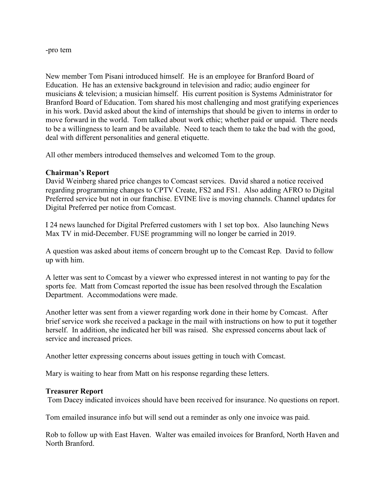#### -pro tem

New member Tom Pisani introduced himself. He is an employee for Branford Board of Education. He has an extensive background in television and radio; audio engineer for musicians & television; a musician himself. His current position is Systems Administrator for Branford Board of Education. Tom shared his most challenging and most gratifying experiences in his work. David asked about the kind of internships that should be given to interns in order to move forward in the world. Tom talked about work ethic; whether paid or unpaid. There needs to be a willingness to learn and be available. Need to teach them to take the bad with the good, deal with different personalities and general etiquette.

All other members introduced themselves and welcomed Tom to the group.

## **Chairman's Report**

David Weinberg shared price changes to Comcast services. David shared a notice received regarding programming changes to CPTV Create, FS2 and FS1. Also adding AFRO to Digital Preferred service but not in our franchise. EVINE live is moving channels. Channel updates for Digital Preferred per notice from Comcast.

I 24 news launched for Digital Preferred customers with 1 set top box. Also launching News Max TV in mid-December. FUSE programming will no longer be carried in 2019.

A question was asked about items of concern brought up to the Comcast Rep. David to follow up with him.

A letter was sent to Comcast by a viewer who expressed interest in not wanting to pay for the sports fee. Matt from Comcast reported the issue has been resolved through the Escalation Department. Accommodations were made.

Another letter was sent from a viewer regarding work done in their home by Comcast. After brief service work she received a package in the mail with instructions on how to put it together herself. In addition, she indicated her bill was raised. She expressed concerns about lack of service and increased prices.

Another letter expressing concerns about issues getting in touch with Comcast.

Mary is waiting to hear from Matt on his response regarding these letters.

## **Treasurer Report**

Tom Dacey indicated invoices should have been received for insurance. No questions on report.

Tom emailed insurance info but will send out a reminder as only one invoice was paid.

Rob to follow up with East Haven. Walter was emailed invoices for Branford, North Haven and North Branford.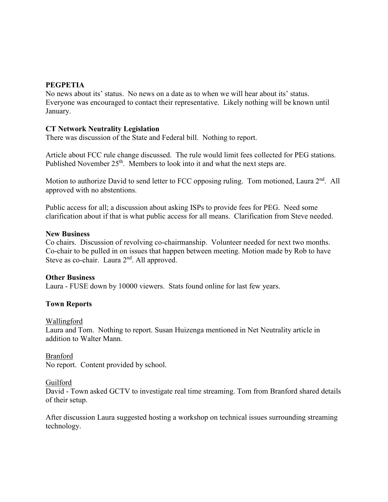# **PEGPETIA**

No news about its' status. No news on a date as to when we will hear about its' status. Everyone was encouraged to contact their representative. Likely nothing will be known until January.

## **CT Network Neutrality Legislation**

There was discussion of the State and Federal bill. Nothing to report.

Article about FCC rule change discussed. The rule would limit fees collected for PEG stations. Published November  $25<sup>th</sup>$ . Members to look into it and what the next steps are.

Motion to authorize David to send letter to FCC opposing ruling. Tom motioned, Laura 2<sup>nd</sup>. All approved with no abstentions.

Public access for all; a discussion about asking ISPs to provide fees for PEG. Need some clarification about if that is what public access for all means. Clarification from Steve needed.

## **New Business**

Co chairs. Discussion of revolving co-chairmanship. Volunteer needed for next two months. Co-chair to be pulled in on issues that happen between meeting. Motion made by Rob to have Steve as co-chair. Laura 2<sup>nd</sup>. All approved.

## **Other Business**

Laura - FUSE down by 10000 viewers. Stats found online for last few years.

## **Town Reports**

#### Wallingford

Laura and Tom. Nothing to report. Susan Huizenga mentioned in Net Neutrality article in addition to Walter Mann.

## Branford

No report. Content provided by school.

#### Guilford

David - Town asked GCTV to investigate real time streaming. Tom from Branford shared details of their setup.

After discussion Laura suggested hosting a workshop on technical issues surrounding streaming technology.